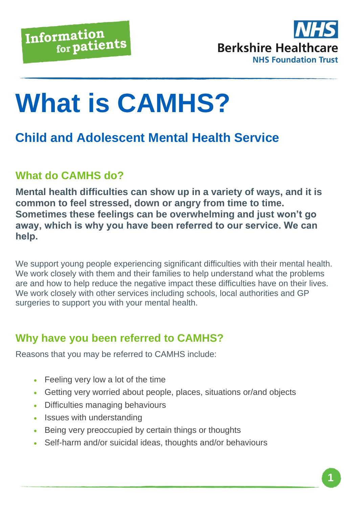

# **What is CAMHS?**

## **Child and Adolescent Mental Health Service**

## **What do CAMHS do?**

**Mental health difficulties can show up in a variety of ways, and it is common to feel stressed, down or angry from time to time. Sometimes these feelings can be overwhelming and just won't go away, which is why you have been referred to our service. We can help.**

We support young people experiencing significant difficulties with their mental health. We work closely with them and their families to help understand what the problems are and how to help reduce the negative impact these difficulties have on their lives. We work closely with other services including schools, local authorities and GP surgeries to support you with your mental health.

## **Why have you been referred to CAMHS?**

Reasons that you may be referred to CAMHS include:

- Feeling very low a lot of the time
- Getting very worried about people, places, situations or/and objects
- Difficulties managing behaviours
- Issues with understanding
- Being very preoccupied by certain things or thoughts
- Self-harm and/or suicidal ideas, thoughts and/or behaviours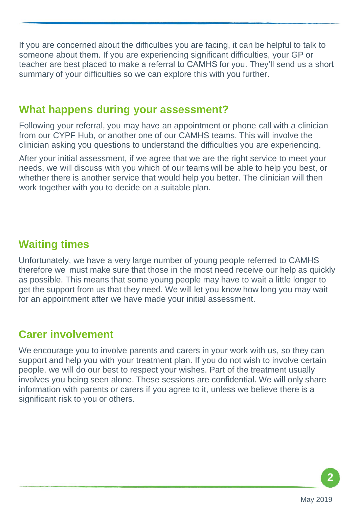If you are concerned about the difficulties you are facing, it can be helpful to talk to someone about them. If you are experiencing significant difficulties, your GP or teacher are best placed to make a referral to CAMHS for you. They'll send us a short summary of your difficulties so we can explore this with you further.

#### **What happens during your assessment?**

Following your referral, you may have an appointment or phone call with a clinician from our CYPF Hub, or another one of our CAMHS teams. This will involve the clinician asking you questions to understand the difficulties you are experiencing.

After your initial assessment, if we agree that we are the right service to meet your needs, we will discuss with you which of our teams will be able to help you best, or whether there is another service that would help you better. The clinician will then work together with you to decide on a suitable plan.

### **Waiting times**

Unfortunately, we have a very large number of young people referred to CAMHS therefore we must make sure that those in the most need receive our help as quickly as possible. This means that some young people may have to wait a little longer to get the support from us that they need. We will let you know how long you may wait for an appointment after we have made your initial assessment.

### **Carer involvement**

We encourage you to involve parents and carers in your work with us, so they can support and help you with your treatment plan. If you do not wish to involve certain people, we will do our best to respect your wishes. Part of the treatment usually involves you being seen alone. These sessions are confidential. We will only share information with parents or carers if you agree to it, unless we believe there is a significant risk to you or others.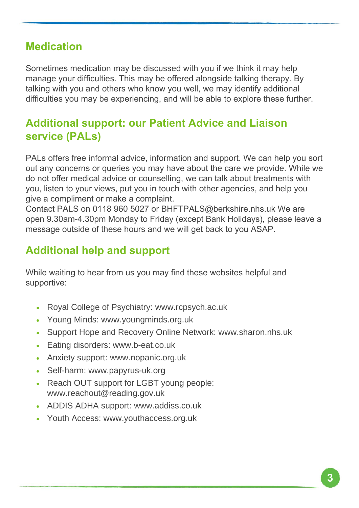## **Medication**

Sometimes medication may be discussed with you if we think it may help manage your difficulties. This may be offered alongside talking therapy. By talking with you and others who know you well, we may identify additional difficulties you may be experiencing, and will be able to explore these further.

## **Additional support: our Patient Advice and Liaison service (PALs)**

PALs offers free informal advice, information and support. We can help you sort out any concerns or queries you may have about the care we provide. While we do not offer medical advice or counselling, we can talk about treatments with you, listen to your views, put you in touch with other agencies, and help you give a compliment or make a complaint.

Contact PALS on 0118 960 5027 or BHFTPALS@berkshire.nhs.uk We are open 9.30am-4.30pm Monday to Friday (except Bank Holidays), please leave a message outside of these hours and we will get back to you ASAP.

## **Additional help and support**

While waiting to hear from us you may find these websites helpful and supportive:

- Royal College of Psychiatry: www.rcpsych.ac.uk
- Young Minds: www.youngminds.org.uk
- Support Hope and Recovery Online Network: www.sharon.nhs.uk
- Eating disorders: www.b-eat.co.uk
- Anxiety support: www.nopanic.org.uk
- Self-harm: www.papyrus-uk.org
- Reach OUT support for LGBT young people: www.reachout@reading.gov.uk
- ADDIS ADHA support: www.addiss.co.uk
- Youth Access: www.youthaccess.org.uk